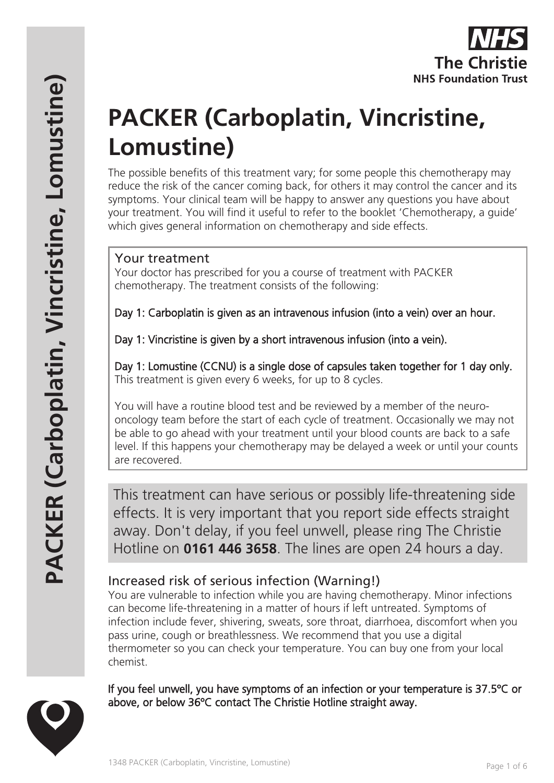

# **PACKER (Carboplatin, Vincristine, Lomustine)**

The possible benefits of this treatment vary; for some people this chemotherapy may reduce the risk of the cancer coming back, for others it may control the cancer and its symptoms. Your clinical team will be happy to answer any questions you have about your treatment. You will find it useful to refer to the booklet 'Chemotherapy, a guide' which gives general information on chemotherapy and side effects.

## Your treatment

Your doctor has prescribed for you a course of treatment with PACKER chemotherapy. The treatment consists of the following:

Day 1: Carboplatin is given as an intravenous infusion (into a vein) over an hour.

Day 1: Vincristine is given by a short intravenous infusion (into a vein).

Day 1: Lomustine (CCNU) is a single dose of capsules taken together for 1 day only. This treatment is given every 6 weeks, for up to 8 cycles.

You will have a routine blood test and be reviewed by a member of the neurooncology team before the start of each cycle of treatment. Occasionally we may not be able to go ahead with your treatment until your blood counts are back to a safe level. If this happens your chemotherapy may be delayed a week or until your counts are recovered.

This treatment can have serious or possibly life-threatening side effects. It is very important that you report side effects straight away. Don't delay, if you feel unwell, please ring The Christie Hotline on **0161 446 3658**. The lines are open 24 hours a day.

# Increased risk of serious infection (Warning!)

You are vulnerable to infection while you are having chemotherapy. Minor infections can become life-threatening in a matter of hours if left untreated. Symptoms of infection include fever, shivering, sweats, sore throat, diarrhoea, discomfort when you pass urine, cough or breathlessness. We recommend that you use a digital thermometer so you can check your temperature. You can buy one from your local chemist.

If you feel unwell, you have symptoms of an infection or your temperature is 37.5ºC or above, or below 36ºC contact The Christie Hotline straight away.

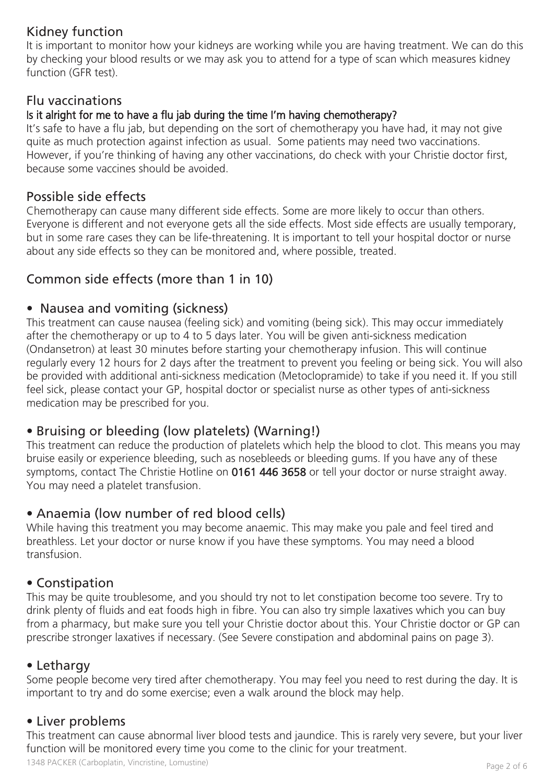# Kidney function

It is important to monitor how your kidneys are working while you are having treatment. We can do this by checking your blood results or we may ask you to attend for a type of scan which measures kidney function (GFR test).

## Flu vaccinations

#### Is it alright for me to have a flu jab during the time I'm having chemotherapy?

It's safe to have a flu jab, but depending on the sort of chemotherapy you have had, it may not give quite as much protection against infection as usual. Some patients may need two vaccinations. However, if you're thinking of having any other vaccinations, do check with your Christie doctor first, because some vaccines should be avoided.

## Possible side effects

Chemotherapy can cause many different side effects. Some are more likely to occur than others. Everyone is different and not everyone gets all the side effects. Most side effects are usually temporary, but in some rare cases they can be life-threatening. It is important to tell your hospital doctor or nurse about any side effects so they can be monitored and, where possible, treated.

## Common side effects (more than 1 in 10)

## • Nausea and vomiting (sickness)

This treatment can cause nausea (feeling sick) and vomiting (being sick). This may occur immediately after the chemotherapy or up to 4 to 5 days later. You will be given anti-sickness medication (Ondansetron) at least 30 minutes before starting your chemotherapy infusion. This will continue regularly every 12 hours for 2 days after the treatment to prevent you feeling or being sick. You will also be provided with additional anti-sickness medication (Metoclopramide) to take if you need it. If you still feel sick, please contact your GP, hospital doctor or specialist nurse as other types of anti-sickness medication may be prescribed for you.

# • Bruising or bleeding (low platelets) (Warning!)

This treatment can reduce the production of platelets which help the blood to clot. This means you may bruise easily or experience bleeding, such as nosebleeds or bleeding gums. If you have any of these symptoms, contact The Christie Hotline on 0161 446 3658 or tell your doctor or nurse straight away. You may need a platelet transfusion.

## • Anaemia (low number of red blood cells)

While having this treatment you may become anaemic. This may make you pale and feel tired and breathless. Let your doctor or nurse know if you have these symptoms. You may need a blood transfusion.

## • Constipation

This may be quite troublesome, and you should try not to let constipation become too severe. Try to drink plenty of fluids and eat foods high in fibre. You can also try simple laxatives which you can buy from a pharmacy, but make sure you tell your Christie doctor about this. Your Christie doctor or GP can prescribe stronger laxatives if necessary. (See Severe constipation and abdominal pains on page 3).

## • Lethargy

Some people become very tired after chemotherapy. You may feel you need to rest during the day. It is important to try and do some exercise; even a walk around the block may help.

## • Liver problems

This treatment can cause abnormal liver blood tests and jaundice. This is rarely very severe, but your liver function will be monitored every time you come to the clinic for your treatment.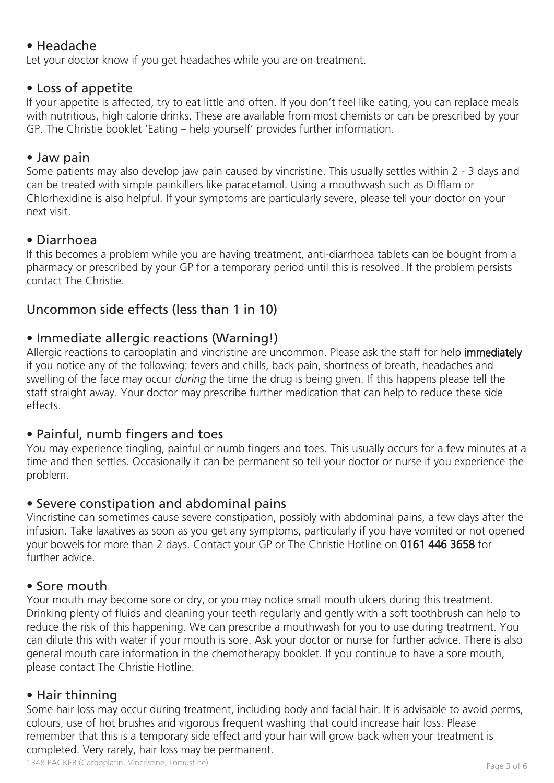# • Headache

Let your doctor know if you get headaches while you are on treatment.

## • Loss of appetite

If your appetite is affected, try to eat little and often. If you don't feel like eating, you can replace meals with nutritious, high calorie drinks. These are available from most chemists or can be prescribed by your GP. The Christie booklet 'Eating – help yourself' provides further information.

## • Jaw pain

Some patients may also develop jaw pain caused by vincristine. This usually settles within 2 - 3 days and can be treated with simple painkillers like paracetamol. Using a mouthwash such as Difflam or Chlorhexidine is also helpful. If your symptoms are particularly severe, please tell your doctor on your next visit.

# • Diarrhoea

If this becomes a problem while you are having treatment, anti-diarrhoea tablets can be bought from a pharmacy or prescribed by your GP for a temporary period until this is resolved. If the problem persists contact The Christie.

# Uncommon side effects (less than 1 in 10)

# • Immediate allergic reactions (Warning!)

Allergic reactions to carboplatin and vincristine are uncommon. Please ask the staff for help immediately if you notice any of the following: fevers and chills, back pain, shortness of breath, headaches and swelling of the face may occur *during* the time the drug is being given. If this happens please tell the staff straight away. Your doctor may prescribe further medication that can help to reduce these side effects.

# • Painful, numb fingers and toes

You may experience tingling, painful or numb fingers and toes. This usually occurs for a few minutes at a time and then settles. Occasionally it can be permanent so tell your doctor or nurse if you experience the problem.

# • Severe constipation and abdominal pains

Vincristine can sometimes cause severe constipation, possibly with abdominal pains, a few days after the infusion. Take laxatives as soon as you get any symptoms, particularly if you have vomited or not opened your bowels for more than 2 days. Contact your GP or The Christie Hotline on 0161 446 3658 for further advice.

# • Sore mouth

Your mouth may become sore or dry, or you may notice small mouth ulcers during this treatment. Drinking plenty of fluids and cleaning your teeth regularly and gently with a soft toothbrush can help to reduce the risk of this happening. We can prescribe a mouthwash for you to use during treatment. You can dilute this with water if your mouth is sore. Ask your doctor or nurse for further advice. There is also general mouth care information in the chemotherapy booklet. If you continue to have a sore mouth, please contact The Christie Hotline.

# • Hair thinning

Some hair loss may occur during treatment, including body and facial hair. It is advisable to avoid perms, colours, use of hot brushes and vigorous frequent washing that could increase hair loss. Please remember that this is a temporary side effect and your hair will grow back when your treatment is completed. Very rarely, hair loss may be permanent.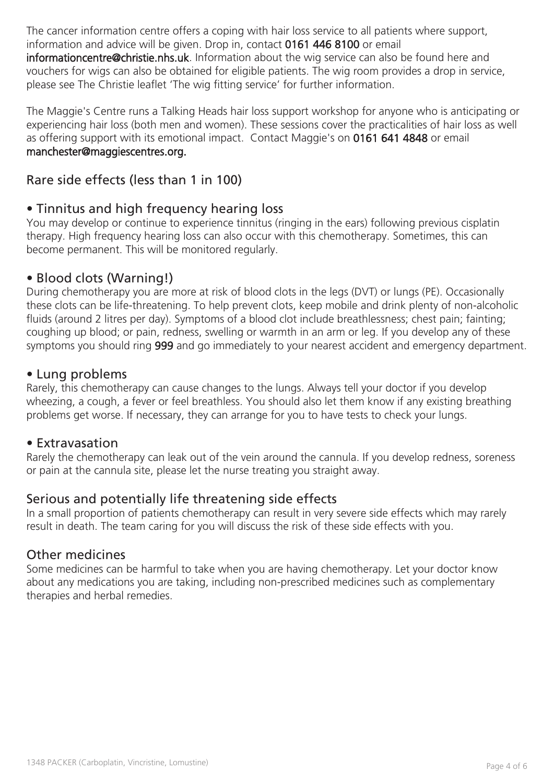The cancer information centre offers a coping with hair loss service to all patients where support, information and advice will be given. Drop in, contact 0161 446 8100 or email

informationcentre@christie.nhs.uk. Information about the wig service can also be found here and vouchers for wigs can also be obtained for eligible patients. The wig room provides a drop in service, please see The Christie leaflet 'The wig fitting service' for further information.

The Maggie's Centre runs a Talking Heads hair loss support workshop for anyone who is anticipating or experiencing hair loss (both men and women). These sessions cover the practicalities of hair loss as well as offering support with its emotional impact. Contact Maggie's on 0161 641 4848 or email manchester@maggiescentres.org.

# Rare side effects (less than 1 in 100)

## • Tinnitus and high frequency hearing loss

You may develop or continue to experience tinnitus (ringing in the ears) following previous cisplatin therapy. High frequency hearing loss can also occur with this chemotherapy. Sometimes, this can become permanent. This will be monitored regularly.

## • Blood clots (Warning!)

During chemotherapy you are more at risk of blood clots in the legs (DVT) or lungs (PE). Occasionally these clots can be life-threatening. To help prevent clots, keep mobile and drink plenty of non-alcoholic fluids (around 2 litres per day). Symptoms of a blood clot include breathlessness; chest pain; fainting; coughing up blood; or pain, redness, swelling or warmth in an arm or leg. If you develop any of these symptoms you should ring 999 and go immediately to your nearest accident and emergency department.

#### • Lung problems

Rarely, this chemotherapy can cause changes to the lungs. Always tell your doctor if you develop wheezing, a cough, a fever or feel breathless. You should also let them know if any existing breathing problems get worse. If necessary, they can arrange for you to have tests to check your lungs.

#### • Extravasation

Rarely the chemotherapy can leak out of the vein around the cannula. If you develop redness, soreness or pain at the cannula site, please let the nurse treating you straight away.

## Serious and potentially life threatening side effects

In a small proportion of patients chemotherapy can result in very severe side effects which may rarely result in death. The team caring for you will discuss the risk of these side effects with you.

#### Other medicines

Some medicines can be harmful to take when you are having chemotherapy. Let your doctor know about any medications you are taking, including non-prescribed medicines such as complementary therapies and herbal remedies.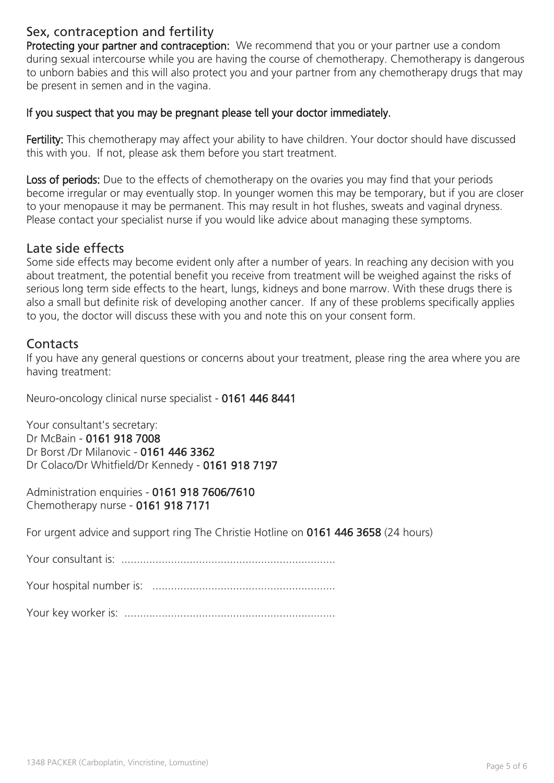# Sex, contraception and fertility

Protecting your partner and contraception: We recommend that you or your partner use a condom during sexual intercourse while you are having the course of chemotherapy. Chemotherapy is dangerous to unborn babies and this will also protect you and your partner from any chemotherapy drugs that may be present in semen and in the vagina.

#### If you suspect that you may be pregnant please tell your doctor immediately.

Fertility: This chemotherapy may affect your ability to have children. Your doctor should have discussed this with you. If not, please ask them before you start treatment.

Loss of periods: Due to the effects of chemotherapy on the ovaries you may find that your periods become irregular or may eventually stop. In younger women this may be temporary, but if you are closer to your menopause it may be permanent. This may result in hot flushes, sweats and vaginal dryness. Please contact your specialist nurse if you would like advice about managing these symptoms.

#### Late side effects

Some side effects may become evident only after a number of years. In reaching any decision with you about treatment, the potential benefit you receive from treatment will be weighed against the risks of serious long term side effects to the heart, lungs, kidneys and bone marrow. With these drugs there is also a small but definite risk of developing another cancer. If any of these problems specifically applies to you, the doctor will discuss these with you and note this on your consent form.

#### **Contacts**

If you have any general questions or concerns about your treatment, please ring the area where you are having treatment:

Neuro-oncology clinical nurse specialist - 0161 446 8441

Your consultant's secretary: Dr McBain - 0161 918 7008 Dr Borst /Dr Milanovic - 0161 446 3362 Dr Colaco/Dr Whitfield/Dr Kennedy - 0161 918 7197

Administration enquiries - 0161 918 7606/7610 Chemotherapy nurse - 0161 918 7171

For urgent advice and support ring The Christie Hotline on 0161 446 3658 (24 hours)

Your consultant is: .....................................................................

Your hospital number is: ...........................................................

Your key worker is: ....................................................................